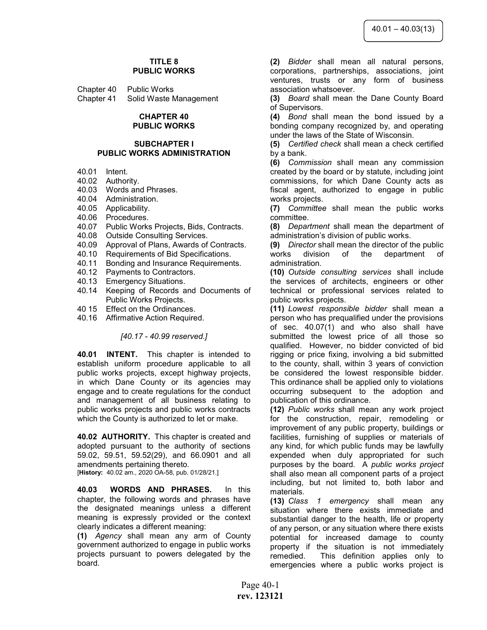#### TITLE 8 PUBLIC WORKS

| Chapter 40 | <b>Public Works</b>    |
|------------|------------------------|
| Chapter 41 | Solid Waste Management |

#### CHAPTER 40 PUBLIC WORKS

#### SUBCHAPTER I PUBLIC WORKS ADMINISTRATION

- 40.01 Intent.
- 40.02 Authority.
- 40.03 Words and Phrases.
- 40.04 Administration.
- 40.05 Applicability.
- 40.06 Procedures.
- 40.07 Public Works Projects, Bids, Contracts.
- 40.08 Outside Consulting Services.
- 40.09 Approval of Plans, Awards of Contracts.
- 40.10 Requirements of Bid Specifications.
- 40.11 Bonding and Insurance Requirements.
- 40.12 Payments to Contractors.
- 40.13 Emergency Situations.
- 40.14 Keeping of Records and Documents of Public Works Projects.
- 40 15 Effect on the Ordinances.
- 40.16 Affirmative Action Required.

## [40.17 - 40.99 reserved.]

40.01 INTENT. This chapter is intended to establish uniform procedure applicable to all public works projects, except highway projects, in which Dane County or its agencies may engage and to create regulations for the conduct and management of all business relating to public works projects and public works contracts which the County is authorized to let or make.

40.02 AUTHORITY. This chapter is created and adopted pursuant to the authority of sections 59.02, 59.51, 59.52(29), and 66.0901 and all amendments pertaining thereto. [History: 40.02 am., 2020 OA-58, pub. 01/28/21.]

40.03 WORDS AND PHRASES. In this chapter, the following words and phrases have the designated meanings unless a different meaning is expressly provided or the context clearly indicates a different meaning:

(1) Agency shall mean any arm of County government authorized to engage in public works projects pursuant to powers delegated by the board.

(2) Bidder shall mean all natural persons, corporations, partnerships, associations, joint ventures, trusts or any form of business association whatsoever.

(3) Board shall mean the Dane County Board of Supervisors.

(4) Bond shall mean the bond issued by a bonding company recognized by, and operating under the laws of the State of Wisconsin.

(5) Certified check shall mean a check certified by a bank.

(6) Commission shall mean any commission created by the board or by statute, including joint commissions, for which Dane County acts as fiscal agent, authorized to engage in public works projects.

(7) Committee shall mean the public works committee.

(8) Department shall mean the department of administration's division of public works.

(9) Director shall mean the director of the public works division of the department administration.

(10) Outside consulting services shall include the services of architects, engineers or other technical or professional services related to public works projects.

(11) Lowest responsible bidder shall mean a person who has prequalified under the provisions of sec. 40.07(1) and who also shall have submitted the lowest price of all those so qualified. However, no bidder convicted of bid rigging or price fixing, involving a bid submitted to the county, shall, within 3 years of conviction be considered the lowest responsible bidder. This ordinance shall be applied only to violations occurring subsequent to the adoption and publication of this ordinance.

(12) Public works shall mean any work project for the construction, repair, remodeling or improvement of any public property, buildings or facilities, furnishing of supplies or materials of any kind, for which public funds may be lawfully expended when duly appropriated for such purposes by the board. A public works project shall also mean all component parts of a project including, but not limited to, both labor and materials.

(13) Class 1 emergency shall mean any situation where there exists immediate and substantial danger to the health, life or property of any person, or any situation where there exists potential for increased damage to county property if the situation is not immediately remedied. This definition applies only to emergencies where a public works project is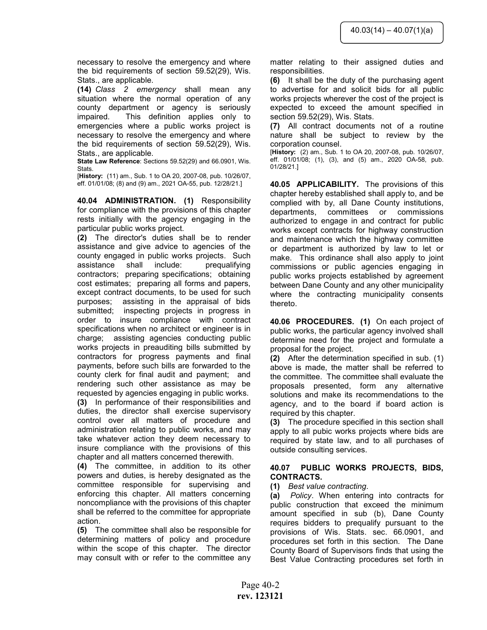necessary to resolve the emergency and where the bid requirements of section 59.52(29), Wis. Stats., are applicable.

(14) Class 2 emergency shall mean any situation where the normal operation of any county department or agency is seriously impaired. This definition applies only to emergencies where a public works project is necessary to resolve the emergency and where the bid requirements of section 59.52(29), Wis. Stats., are applicable.

State Law Reference: Sections 59.52(29) and 66.0901, Wis. Stats.

[History: (11) am., Sub. 1 to OA 20, 2007-08, pub. 10/26/07, eff. 01/01/08; (8) and (9) am., 2021 OA-55, pub. 12/28/21.]

40.04 ADMINISTRATION. (1) Responsibility for compliance with the provisions of this chapter rests initially with the agency engaging in the particular public works project.

(2) The director's duties shall be to render assistance and give advice to agencies of the county engaged in public works projects. Such assistance shall include: prequalifying contractors; preparing specifications; obtaining cost estimates; preparing all forms and papers, except contract documents, to be used for such purposes; assisting in the appraisal of bids submitted; inspecting projects in progress in order to insure compliance with contract specifications when no architect or engineer is in charge; assisting agencies conducting public works projects in preauditing bills submitted by contractors for progress payments and final payments, before such bills are forwarded to the county clerk for final audit and payment; and rendering such other assistance as may be requested by agencies engaging in public works. (3) In performance of their responsibilities and duties, the director shall exercise supervisory control over all matters of procedure and administration relating to public works, and may take whatever action they deem necessary to insure compliance with the provisions of this

chapter and all matters concerned therewith. (4) The committee, in addition to its other powers and duties, is hereby designated as the

committee responsible for supervising and enforcing this chapter. All matters concerning noncompliance with the provisions of this chapter shall be referred to the committee for appropriate action.

(5) The committee shall also be responsible for determining matters of policy and procedure within the scope of this chapter. The director may consult with or refer to the committee any matter relating to their assigned duties and responsibilities.

(6) It shall be the duty of the purchasing agent to advertise for and solicit bids for all public works projects wherever the cost of the project is expected to exceed the amount specified in section 59.52(29), Wis. Stats.

(7) All contract documents not of a routine nature shall be subject to review by the corporation counsel.

[History: (2) am., Sub. 1 to OA 20, 2007-08, pub. 10/26/07, eff. 01/01/08; (1), (3), and (5) am., 2020 OA-58, pub. 01/28/21.]

40.05 APPLICABILITY. The provisions of this chapter hereby established shall apply to, and be complied with by, all Dane County institutions, departments, committees or commissions authorized to engage in and contract for public works except contracts for highway construction and maintenance which the highway committee or department is authorized by law to let or make. This ordinance shall also apply to joint commissions or public agencies engaging in public works projects established by agreement between Dane County and any other municipality where the contracting municipality consents thereto.

40.06 PROCEDURES. (1) On each project of public works, the particular agency involved shall determine need for the project and formulate a proposal for the project.

(2) After the determination specified in sub. (1) above is made, the matter shall be referred to the committee. The committee shall evaluate the proposals presented, form any alternative solutions and make its recommendations to the agency, and to the board if board action is required by this chapter.

(3) The procedure specified in this section shall apply to all pubic works projects where bids are required by state law, and to all purchases of outside consulting services.

# 40.07 PUBLIC WORKS PROJECTS, BIDS, CONTRACTS.

# (1) Best value contracting.

(a) Policy. When entering into contracts for public construction that exceed the minimum amount specified in sub (b), Dane County requires bidders to prequalify pursuant to the provisions of Wis. Stats. sec. 66.0901, and procedures set forth in this section. The Dane County Board of Supervisors finds that using the Best Value Contracting procedures set forth in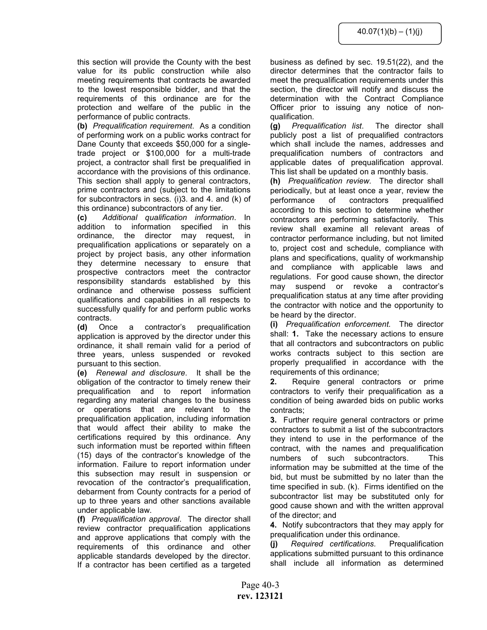this section will provide the County with the best value for its public construction while also meeting requirements that contracts be awarded to the lowest responsible bidder, and that the requirements of this ordinance are for the protection and welfare of the public in the performance of public contracts.

(b) Prequalification requirement. As a condition of performing work on a public works contract for Dane County that exceeds \$50,000 for a singletrade project or \$100,000 for a multi-trade project, a contractor shall first be prequalified in accordance with the provisions of this ordinance. This section shall apply to general contractors, prime contractors and (subject to the limitations for subcontractors in secs. (i)3. and 4. and (k) of this ordinance) subcontractors of any tier.

(c) Additional qualification information. In addition to information specified in this ordinance, the director may request, in prequalification applications or separately on a project by project basis, any other information they determine necessary to ensure that prospective contractors meet the contractor responsibility standards established by this ordinance and otherwise possess sufficient qualifications and capabilities in all respects to successfully qualify for and perform public works contracts.

(d) Once a contractor's prequalification application is approved by the director under this ordinance, it shall remain valid for a period of three years, unless suspended or revoked pursuant to this section.

(e) Renewal and disclosure. It shall be the obligation of the contractor to timely renew their prequalification and to report information regarding any material changes to the business or operations that are relevant to the prequalification application, including information that would affect their ability to make the certifications required by this ordinance. Any such information must be reported within fifteen (15) days of the contractor's knowledge of the information. Failure to report information under this subsection may result in suspension or revocation of the contractor's prequalification, debarment from County contracts for a period of up to three years and other sanctions available under applicable law.

(f) Prequalification approval. The director shall review contractor prequalification applications and approve applications that comply with the requirements of this ordinance and other applicable standards developed by the director. If a contractor has been certified as a targeted

business as defined by sec. 19.51(22), and the director determines that the contractor fails to meet the prequalification requirements under this section, the director will notify and discuss the determination with the Contract Compliance Officer prior to issuing any notice of nonqualification.

(g) Prequalification list. The director shall publicly post a list of prequalified contractors which shall include the names, addresses and prequalification numbers of contractors and applicable dates of prequalification approval. This list shall be updated on a monthly basis.

(h) Prequalification review. The director shall periodically, but at least once a year, review the performance of contractors prequalified according to this section to determine whether contractors are performing satisfactorily. This review shall examine all relevant areas of contractor performance including, but not limited to, project cost and schedule, compliance with plans and specifications, quality of workmanship and compliance with applicable laws and regulations. For good cause shown, the director may suspend or revoke a contractor's prequalification status at any time after providing the contractor with notice and the opportunity to be heard by the director.

(i) Prequalification enforcement. The director shall: 1. Take the necessary actions to ensure that all contractors and subcontractors on public works contracts subject to this section are properly prequalified in accordance with the requirements of this ordinance;

2. Require general contractors or prime contractors to verify their prequalification as a condition of being awarded bids on public works contracts;

3. Further require general contractors or prime contractors to submit a list of the subcontractors they intend to use in the performance of the contract, with the names and prequalification numbers of such subcontractors. This information may be submitted at the time of the bid, but must be submitted by no later than the time specified in sub. (k). Firms identified on the subcontractor list may be substituted only for good cause shown and with the written approval of the director; and

4. Notify subcontractors that they may apply for prequalification under this ordinance.

(j) Required certifications. Prequalification applications submitted pursuant to this ordinance shall include all information as determined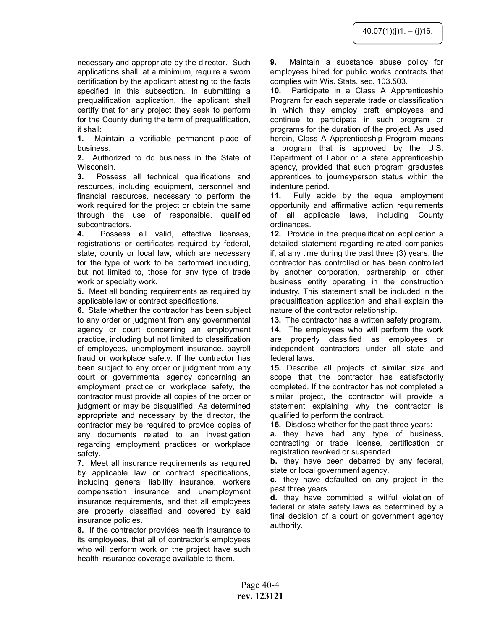necessary and appropriate by the director. Such applications shall, at a minimum, require a sworn certification by the applicant attesting to the facts specified in this subsection. In submitting a prequalification application, the applicant shall certify that for any project they seek to perform for the County during the term of prequalification, it shall:

1. Maintain a verifiable permanent place of business.

2. Authorized to do business in the State of Wisconsin.

3. Possess all technical qualifications and resources, including equipment, personnel and financial resources, necessary to perform the work required for the project or obtain the same through the use of responsible, qualified subcontractors.

4. Possess all valid, effective licenses, registrations or certificates required by federal, state, county or local law, which are necessary for the type of work to be performed including, but not limited to, those for any type of trade work or specialty work.

5. Meet all bonding requirements as required by applicable law or contract specifications.

6. State whether the contractor has been subject to any order or judgment from any governmental agency or court concerning an employment practice, including but not limited to classification of employees, unemployment insurance, payroll fraud or workplace safety. If the contractor has been subject to any order or judgment from any court or governmental agency concerning an employment practice or workplace safety, the contractor must provide all copies of the order or judgment or may be disqualified. As determined appropriate and necessary by the director, the contractor may be required to provide copies of any documents related to an investigation regarding employment practices or workplace safety.

7. Meet all insurance requirements as required by applicable law or contract specifications, including general liability insurance, workers compensation insurance and unemployment insurance requirements, and that all employees are properly classified and covered by said insurance policies.

8. If the contractor provides health insurance to its employees, that all of contractor's employees who will perform work on the project have such health insurance coverage available to them.

9. Maintain a substance abuse policy for employees hired for public works contracts that complies with Wis. Stats. sec. 103.503.

10. Participate in a Class A Apprenticeship Program for each separate trade or classification in which they employ craft employees and continue to participate in such program or programs for the duration of the project. As used herein, Class A Apprenticeship Program means a program that is approved by the U.S. Department of Labor or a state apprenticeship agency, provided that such program graduates apprentices to journeyperson status within the indenture period.

11. Fully abide by the equal employment opportunity and affirmative action requirements of all applicable laws, including County ordinances.

12. Provide in the prequalification application a detailed statement regarding related companies if, at any time during the past three (3) years, the contractor has controlled or has been controlled by another corporation, partnership or other business entity operating in the construction industry. This statement shall be included in the prequalification application and shall explain the nature of the contractor relationship.

13. The contractor has a written safety program.

14. The employees who will perform the work are properly classified as employees or independent contractors under all state and federal laws.

15. Describe all projects of similar size and scope that the contractor has satisfactorily completed. If the contractor has not completed a similar project, the contractor will provide a statement explaining why the contractor is qualified to perform the contract.

16. Disclose whether for the past three years:

**a.** they have had any type of business, contracting or trade license, certification or registration revoked or suspended.

**b.** they have been debarred by any federal, state or local government agency.

c. they have defaulted on any project in the past three years.

d. they have committed a willful violation of federal or state safety laws as determined by a final decision of a court or government agency authority.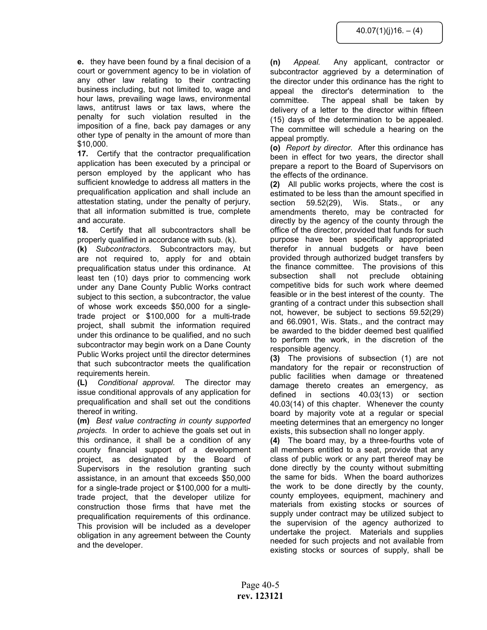e. they have been found by a final decision of a court or government agency to be in violation of any other law relating to their contracting business including, but not limited to, wage and hour laws, prevailing wage laws, environmental laws, antitrust laws or tax laws, where the penalty for such violation resulted in the imposition of a fine, back pay damages or any other type of penalty in the amount of more than \$10,000.

17. Certify that the contractor prequalification application has been executed by a principal or person employed by the applicant who has sufficient knowledge to address all matters in the prequalification application and shall include an attestation stating, under the penalty of perjury, that all information submitted is true, complete and accurate.

18. Certify that all subcontractors shall be properly qualified in accordance with sub. (k).

(k) Subcontractors. Subcontractors may, but are not required to, apply for and obtain prequalification status under this ordinance. At least ten (10) days prior to commencing work under any Dane County Public Works contract subject to this section, a subcontractor, the value of whose work exceeds \$50,000 for a singletrade project or \$100,000 for a multi-trade project, shall submit the information required under this ordinance to be qualified, and no such subcontractor may begin work on a Dane County Public Works project until the director determines that such subcontractor meets the qualification requirements herein.

(L) Conditional approval. The director may issue conditional approvals of any application for prequalification and shall set out the conditions thereof in writing.

(m) Best value contracting in county supported projects. In order to achieve the goals set out in this ordinance, it shall be a condition of any county financial support of a development project, as designated by the Board of Supervisors in the resolution granting such assistance, in an amount that exceeds \$50,000 for a single-trade project or \$100,000 for a multitrade project, that the developer utilize for construction those firms that have met the prequalification requirements of this ordinance. This provision will be included as a developer obligation in any agreement between the County and the developer.

(n) Appeal. Any applicant, contractor or subcontractor aggrieved by a determination of the director under this ordinance has the right to appeal the director's determination to the committee. The appeal shall be taken by delivery of a letter to the director within fifteen (15) days of the determination to be appealed. The committee will schedule a hearing on the appeal promptly.

(o) Report by director. After this ordinance has been in effect for two years, the director shall prepare a report to the Board of Supervisors on the effects of the ordinance.

(2) All public works projects, where the cost is estimated to be less than the amount specified in section 59.52(29), Wis. Stats., or any amendments thereto, may be contracted for directly by the agency of the county through the office of the director, provided that funds for such purpose have been specifically appropriated therefor in annual budgets or have been provided through authorized budget transfers by the finance committee. The provisions of this subsection shall not preclude obtaining competitive bids for such work where deemed feasible or in the best interest of the county. The granting of a contract under this subsection shall not, however, be subject to sections 59.52(29) and 66.0901, Wis. Stats., and the contract may be awarded to the bidder deemed best qualified to perform the work, in the discretion of the responsible agency.

(3) The provisions of subsection (1) are not mandatory for the repair or reconstruction of public facilities when damage or threatened damage thereto creates an emergency, as defined in sections 40.03(13) or section 40.03(14) of this chapter. Whenever the county board by majority vote at a regular or special meeting determines that an emergency no longer exists, this subsection shall no longer apply.

(4) The board may, by a three-fourths vote of all members entitled to a seat, provide that any class of public work or any part thereof may be done directly by the county without submitting the same for bids. When the board authorizes the work to be done directly by the county, county employees, equipment, machinery and materials from existing stocks or sources of supply under contract may be utilized subject to the supervision of the agency authorized to undertake the project. Materials and supplies needed for such projects and not available from existing stocks or sources of supply, shall be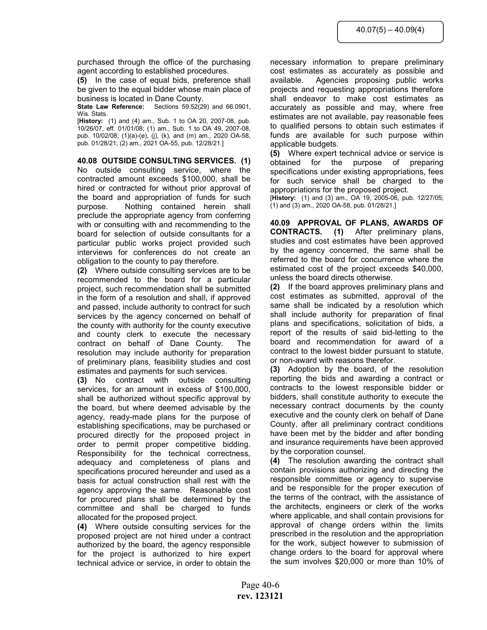purchased through the office of the purchasing agent according to established procedures.

(5) In the case of equal bids, preference shall be given to the equal bidder whose main place of business is located in Dane County.

**State Law Reference:** Sections  $59.52(29)$  and  $66.0901$ , Wis. Stats.

[History: (1) and (4) am., Sub. 1 to OA 20, 2007-08, pub. 10/26/07, eff. 01/01/08; (1) am., Sub. 1 to OA 49, 2007-08, pub. 10/02/08; (1)(a)-(e), (j), (k), and (m) am., 2020 OA-58, pub. 01/28/21; (2) am., 2021 OA-55, pub. 12/28/21.]

40.08 OUTSIDE CONSULTING SERVICES. (1) No outside consulting service, where the contracted amount exceeds \$100,000, shall be hired or contracted for without prior approval of the board and appropriation of funds for such purpose. Nothing contained herein shall preclude the appropriate agency from conferring with or consulting with and recommending to the board for selection of outside consultants for a particular public works project provided such interviews for conferences do not create an obligation to the county to pay therefore.

(2) Where outside consulting services are to be recommended to the board for a particular project, such recommendation shall be submitted in the form of a resolution and shall, if approved and passed, include authority to contract for such services by the agency concerned on behalf of the county with authority for the county executive and county clerk to execute the necessary contract on behalf of Dane County. The resolution may include authority for preparation of preliminary plans, feasibility studies and cost estimates and payments for such services.

(3) No contract with outside consulting services, for an amount in excess of \$100,000, shall be authorized without specific approval by the board, but where deemed advisable by the agency, ready-made plans for the purpose of establishing specifications, may be purchased or procured directly for the proposed project in order to permit proper competitive bidding. Responsibility for the technical correctness, adequacy and completeness of plans and specifications procured hereunder and used as a basis for actual construction shall rest with the agency approving the same. Reasonable cost for procured plans shall be determined by the committee and shall be charged to funds allocated for the proposed project.

(4) Where outside consulting services for the proposed project are not hired under a contract authorized by the board, the agency responsible for the project is authorized to hire expert technical advice or service, in order to obtain the

necessary information to prepare preliminary cost estimates as accurately as possible and available. Agencies proposing public works projects and requesting appropriations therefore shall endeavor to make cost estimates as accurately as possible and may, where free estimates are not available, pay reasonable fees to qualified persons to obtain such estimates if funds are available for such purpose within applicable budgets.

(5) Where expert technical advice or service is obtained for the purpose of preparing specifications under existing appropriations, fees for such service shall be charged to the appropriations for the proposed project.

[History: (1) and (3) am., OA 19, 2005-06, pub. 12/27/05; (1) and (3) am., 2020 OA-58, pub. 01/28/21.]

40.09 APPROVAL OF PLANS, AWARDS OF CONTRACTS. (1) After preliminary plans, studies and cost estimates have been approved by the agency concerned, the same shall be referred to the board for concurrence where the estimated cost of the project exceeds \$40,000, unless the board directs otherwise.

(2) If the board approves preliminary plans and cost estimates as submitted, approval of the same shall be indicated by a resolution which shall include authority for preparation of final plans and specifications, solicitation of bids, a report of the results of said bid-letting to the board and recommendation for award of a contract to the lowest bidder pursuant to statute, or non-award with reasons therefor.

(3) Adoption by the board, of the resolution reporting the bids and awarding a contract or contracts to the lowest responsible bidder or bidders, shall constitute authority to execute the necessary contract documents by the county executive and the county clerk on behalf of Dane County, after all preliminary contract conditions have been met by the bidder and after bonding and insurance requirements have been approved by the corporation counsel.

(4) The resolution awarding the contract shall contain provisions authorizing and directing the responsible committee or agency to supervise and be responsible for the proper execution of the terms of the contract, with the assistance of the architects, engineers or clerk of the works where applicable, and shall contain provisions for approval of change orders within the limits prescribed in the resolution and the appropriation for the work, subject however to submission of change orders to the board for approval where the sum involves \$20,000 or more than 10% of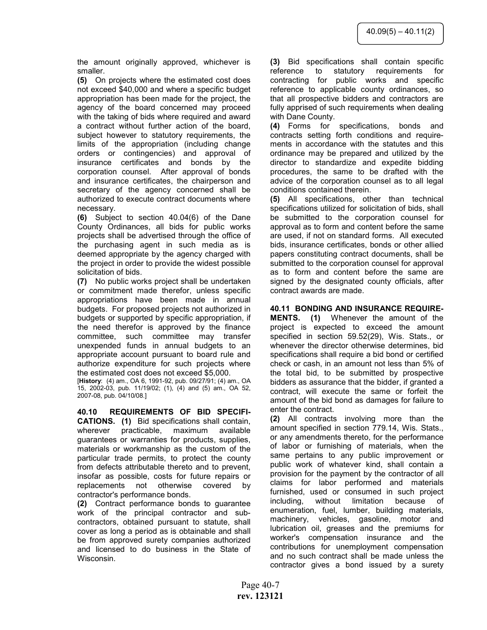the amount originally approved, whichever is smaller.

(5) On projects where the estimated cost does not exceed \$40,000 and where a specific budget appropriation has been made for the project, the agency of the board concerned may proceed with the taking of bids where required and award a contract without further action of the board, subject however to statutory requirements, the limits of the appropriation (including change orders or contingencies) and approval of insurance certificates and bonds by the corporation counsel. After approval of bonds and insurance certificates, the chairperson and secretary of the agency concerned shall be authorized to execute contract documents where necessary.

(6) Subject to section 40.04(6) of the Dane County Ordinances, all bids for public works projects shall be advertised through the office of the purchasing agent in such media as is deemed appropriate by the agency charged with the project in order to provide the widest possible solicitation of bids.

(7) No public works project shall be undertaken or commitment made therefor, unless specific appropriations have been made in annual budgets. For proposed projects not authorized in budgets or supported by specific appropriation, if the need therefor is approved by the finance committee, such committee may transfer unexpended funds in annual budgets to an appropriate account pursuant to board rule and authorize expenditure for such projects where the estimated cost does not exceed \$5,000.

[History: (4) am., OA 6, 1991-92, pub. 09/27/91; (4) am., OA 15, 2002-03, pub. 11/19/02; (1), (4) and (5) am., OA 52, 2007-08, pub. 04/10/08.]

40.10 REQUIREMENTS OF BID SPECIFI-CATIONS. (1) Bid specifications shall contain, wherever practicable, maximum available guarantees or warranties for products, supplies, materials or workmanship as the custom of the particular trade permits, to protect the county from defects attributable thereto and to prevent, insofar as possible, costs for future repairs or replacements not otherwise covered by contractor's performance bonds.

(2) Contract performance bonds to guarantee work of the principal contractor and subcontractors, obtained pursuant to statute, shall cover as long a period as is obtainable and shall be from approved surety companies authorized and licensed to do business in the State of Wisconsin.

(3) Bid specifications shall contain specific reference to statutory requirements for contracting for public works and specific reference to applicable county ordinances, so that all prospective bidders and contractors are fully apprised of such requirements when dealing with Dane County.

(4) Forms for specifications, bonds and contracts setting forth conditions and requirements in accordance with the statutes and this ordinance may be prepared and utilized by the director to standardize and expedite bidding procedures, the same to be drafted with the advice of the corporation counsel as to all legal conditions contained therein.

(5) All specifications, other than technical specifications utilized for solicitation of bids, shall be submitted to the corporation counsel for approval as to form and content before the same are used, if not on standard forms. All executed bids, insurance certificates, bonds or other allied papers constituting contract documents, shall be submitted to the corporation counsel for approval as to form and content before the same are signed by the designated county officials, after contract awards are made.

# 40.11 BONDING AND INSURANCE REQUIRE-

MENTS. (1) Whenever the amount of the project is expected to exceed the amount specified in section 59.52(29), Wis. Stats., or whenever the director otherwise determines, bid specifications shall require a bid bond or certified check or cash, in an amount not less than 5% of the total bid, to be submitted by prospective bidders as assurance that the bidder, if granted a contract, will execute the same or forfeit the amount of the bid bond as damages for failure to enter the contract.

(2) All contracts involving more than the amount specified in section 779.14, Wis. Stats., or any amendments thereto, for the performance of labor or furnishing of materials, when the same pertains to any public improvement or public work of whatever kind, shall contain a provision for the payment by the contractor of all claims for labor performed and materials furnished, used or consumed in such project including, without limitation because of enumeration, fuel, lumber, building materials, machinery, vehicles, gasoline, motor and lubrication oil, greases and the premiums for worker's compensation insurance and the contributions for unemployment compensation and no such contract shall be made unless the contractor gives a bond issued by a surety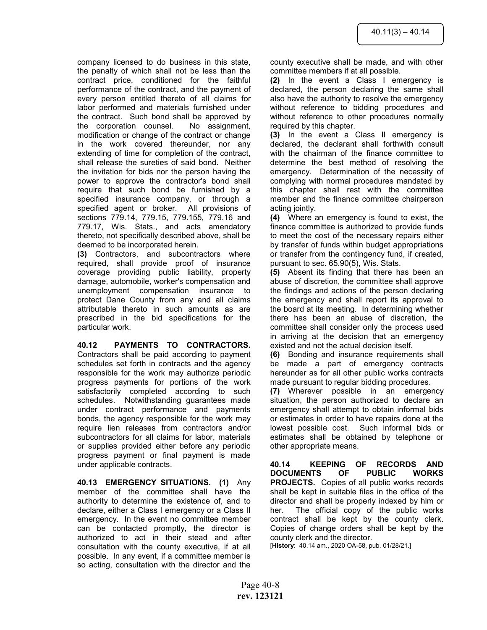company licensed to do business in this state, the penalty of which shall not be less than the contract price, conditioned for the faithful performance of the contract, and the payment of every person entitled thereto of all claims for labor performed and materials furnished under the contract. Such bond shall be approved by the corporation counsel. No assignment, modification or change of the contract or change in the work covered thereunder, nor any extending of time for completion of the contract, shall release the sureties of said bond. Neither the invitation for bids nor the person having the power to approve the contractor's bond shall require that such bond be furnished by a specified insurance company, or through a specified agent or broker. All provisions of sections 779.14, 779.15, 779.155, 779.16 and 779.17, Wis. Stats., and acts amendatory thereto, not specifically described above, shall be deemed to be incorporated herein.

(3) Contractors, and subcontractors where required, shall provide proof of insurance coverage providing public liability, property damage, automobile, worker's compensation and unemployment compensation insurance to protect Dane County from any and all claims attributable thereto in such amounts as are prescribed in the bid specifications for the particular work.

# 40.12 PAYMENTS TO CONTRACTORS.

Contractors shall be paid according to payment schedules set forth in contracts and the agency responsible for the work may authorize periodic progress payments for portions of the work satisfactorily completed according to such schedules. Notwithstanding guarantees made under contract performance and payments bonds, the agency responsible for the work may require lien releases from contractors and/or subcontractors for all claims for labor, materials or supplies provided either before any periodic progress payment or final payment is made under applicable contracts.

40.13 EMERGENCY SITUATIONS. (1) Any member of the committee shall have the authority to determine the existence of, and to declare, either a Class I emergency or a Class II emergency. In the event no committee member can be contacted promptly, the director is authorized to act in their stead and after consultation with the county executive, if at all possible. In any event, if a committee member is so acting, consultation with the director and the

county executive shall be made, and with other committee members if at all possible.

(2) In the event a Class I emergency is declared, the person declaring the same shall also have the authority to resolve the emergency without reference to bidding procedures and without reference to other procedures normally required by this chapter.

(3) In the event a Class II emergency is declared, the declarant shall forthwith consult with the chairman of the finance committee to determine the best method of resolving the emergency. Determination of the necessity of complying with normal procedures mandated by this chapter shall rest with the committee member and the finance committee chairperson acting jointly.

(4) Where an emergency is found to exist, the finance committee is authorized to provide funds to meet the cost of the necessary repairs either by transfer of funds within budget appropriations or transfer from the contingency fund, if created, pursuant to sec. 65.90(5), Wis. Stats.

(5) Absent its finding that there has been an abuse of discretion, the committee shall approve the findings and actions of the person declaring the emergency and shall report its approval to the board at its meeting. In determining whether there has been an abuse of discretion, the committee shall consider only the process used in arriving at the decision that an emergency existed and not the actual decision itself.

(6) Bonding and insurance requirements shall be made a part of emergency contracts hereunder as for all other public works contracts made pursuant to regular bidding procedures.

(7) Wherever possible in an emergency situation, the person authorized to declare an emergency shall attempt to obtain informal bids or estimates in order to have repairs done at the lowest possible cost. Such informal bids or estimates shall be obtained by telephone or other appropriate means.

40.14 KEEPING OF RECORDS AND DOCUMENTS OF PUBLIC WORKS PROJECTS. Copies of all public works records shall be kept in suitable files in the office of the director and shall be properly indexed by him or her. The official copy of the public works contract shall be kept by the county clerk. Copies of change orders shall be kept by the county clerk and the director.

[History: 40.14 am., 2020 OA-58, pub. 01/28/21.]